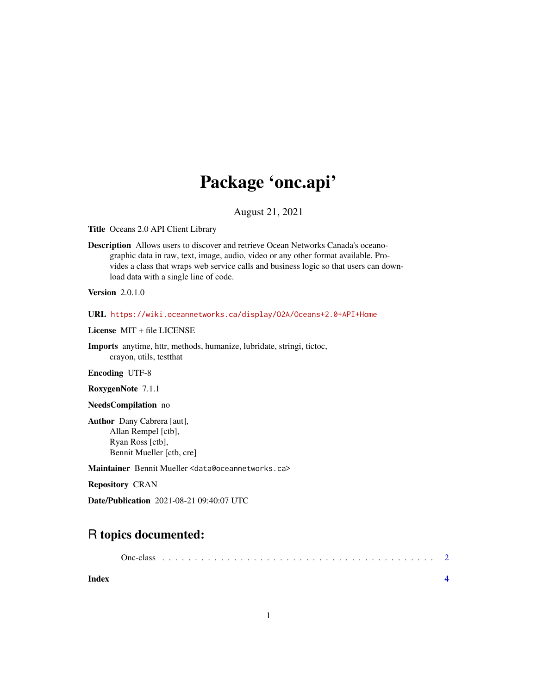## Package 'onc.api'

August 21, 2021

Title Oceans 2.0 API Client Library

Description Allows users to discover and retrieve Ocean Networks Canada's oceanographic data in raw, text, image, audio, video or any other format available. Provides a class that wraps web service calls and business logic so that users can download data with a single line of code.

**Version** 2.0.1.0

URL <https://wiki.oceannetworks.ca/display/O2A/Oceans+2.0+API+Home>

License MIT + file LICENSE

Imports anytime, httr, methods, humanize, lubridate, stringi, tictoc, crayon, utils, testthat

Encoding UTF-8

RoxygenNote 7.1.1

NeedsCompilation no

Author Dany Cabrera [aut], Allan Rempel [ctb], Ryan Ross [ctb], Bennit Mueller [ctb, cre]

Maintainer Bennit Mueller <data@oceannetworks.ca>

Repository CRAN

Date/Publication 2021-08-21 09:40:07 UTC

### R topics documented:

1

**Index** [4](#page-3-0)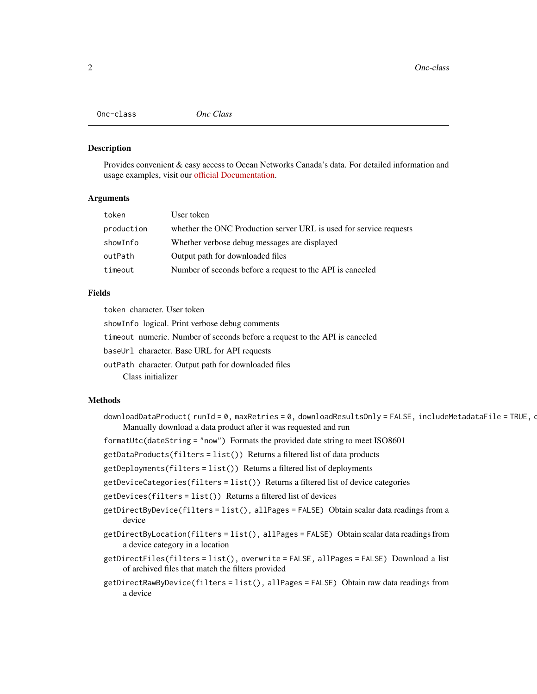<span id="page-1-0"></span>

#### Description

Provides convenient & easy access to Ocean Networks Canada's data. For detailed information and usage examples, visit our [official Documentation.](https://wiki.oceannetworks.ca/display/O2A/Oceans+2.0+API+Home)

#### Arguments

| token      | User token                                                         |
|------------|--------------------------------------------------------------------|
| production | whether the ONC Production server URL is used for service requests |
| showInfo   | Whether verbose debug messages are displayed                       |
| outPath    | Output path for downloaded files                                   |
| timeout    | Number of seconds before a request to the API is canceled          |
|            |                                                                    |

#### Fields

token character. User token

showInfo logical. Print verbose debug comments

timeout numeric. Number of seconds before a request to the API is canceled

baseUrl character. Base URL for API requests

outPath character. Output path for downloaded files

Class initializer

#### Methods

downloadDataProduct( runId = 0, maxRetries = 0, downloadResultsOnly = FALSE, includeMetadataFile = TRUE, o Manually download a data product after it was requested and run

formatUtc(dateString = "now") Formats the provided date string to meet ISO8601

getDataProducts(filters = list()) Returns a filtered list of data products

getDeployments(filters = list()) Returns a filtered list of deployments

getDeviceCategories(filters = list()) Returns a filtered list of device categories

getDevices(filters = list()) Returns a filtered list of devices

- getDirectByDevice(filters = list(), allPages = FALSE) Obtain scalar data readings from a device
- getDirectByLocation(filters = list(), allPages = FALSE) Obtain scalar data readings from a device category in a location
- getDirectFiles(filters = list(), overwrite = FALSE, allPages = FALSE) Download a list of archived files that match the filters provided
- getDirectRawByDevice(filters = list(), allPages = FALSE) Obtain raw data readings from a device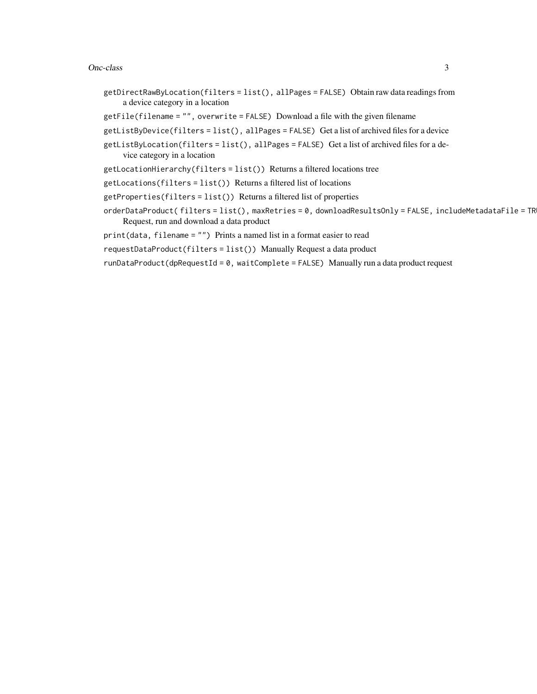#### Onc-class 3

- getDirectRawByLocation(filters = list(), allPages = FALSE) Obtain raw data readings from a device category in a location
- getFile(filename = "", overwrite = FALSE) Download a file with the given filename
- getListByDevice(filters = list(), allPages = FALSE) Get a list of archived files for a device
- getListByLocation(filters = list(), allPages = FALSE) Get a list of archived files for a device category in a location
- getLocationHierarchy(filters = list()) Returns a filtered locations tree
- getLocations(filters = list()) Returns a filtered list of locations
- getProperties(filters = list()) Returns a filtered list of properties
- $orderDataProduct(f filters = list(), maxRetries = 0, downloadResultsOnly = FALSE, includeMetadaFile = TR$ Request, run and download a data product

print(data, filename = "") Prints a named list in a format easier to read

- requestDataProduct(filters = list()) Manually Request a data product
- $runDataProduct(dpRequestId = 0, waitComplete = FALSE)$  Manually run a data product request